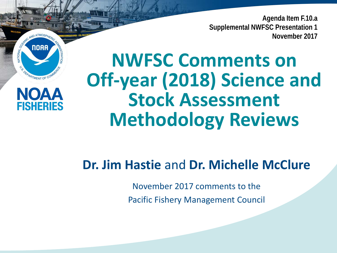**Agenda Item F.10.a Supplemental NWFSC Presentation 1 November 2017**

## **NWFSC Comments on Off-year (2018) Science and Stock Assessment Methodology Reviews**

**NOAA** 

OFPARTMENT OF CO

**FISHFRIFS** 

**NATIONAL** 

**Dr. Jim Hastie** and **Dr. Michelle McClure**

November 2017 comments to the Pacific Fishery Management Council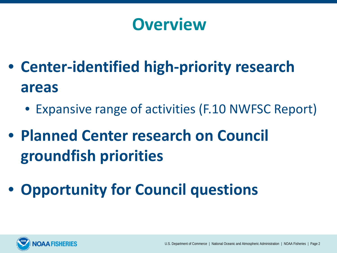### **Overview**

- **Center-identified high-priority research areas**
	- Expansive range of activities (F.10 NWFSC Report)
- **Planned Center research on Council groundfish priorities**
- **Opportunity for Council questions**

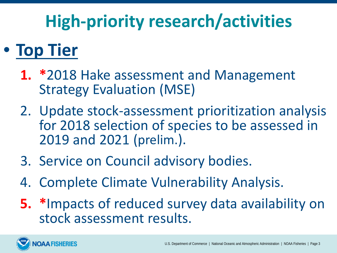# **High-priority research/activities**

## • **Top Tier**

- **1. \***2018 Hake assessment and Management Strategy Evaluation (MSE)
- 2. Update stock-assessment prioritization analysis for 2018 selection of species to be assessed in 2019 and 2021 (prelim.).
- 3. Service on Council advisory bodies.
- 4. Complete Climate Vulnerability Analysis.
- **5. \***Impacts of reduced survey data availability on stock assessment results.

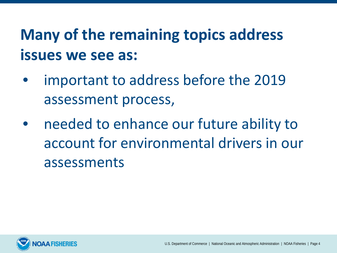### **Many of the remaining topics address issues we see as:**

- important to address before the 2019 assessment process,
- needed to enhance our future ability to account for environmental drivers in our assessments

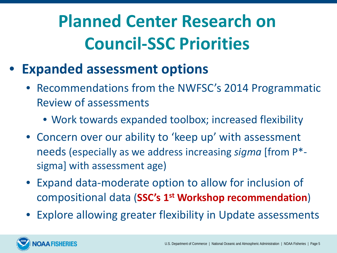# **Planned Center Research on Council-SSC Priorities**

- **Expanded assessment options**
	- Recommendations from the NWFSC's 2014 Programmatic Review of assessments
		- Work towards expanded toolbox; increased flexibility
	- Concern over our ability to 'keep up' with assessment needs (especially as we address increasing *sigma* [from P\* sigma] with assessment age)
	- Expand data-moderate option to allow for inclusion of compositional data (**SSC's 1st Workshop recommendation**)
	- Explore allowing greater flexibility in Update assessments

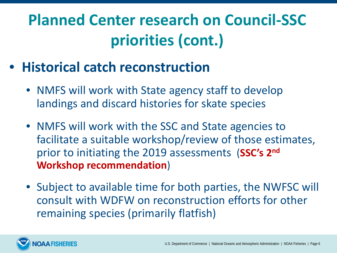- **Historical catch reconstruction**
	- NMFS will work with State agency staff to develop landings and discard histories for skate species
	- NMFS will work with the SSC and State agencies to facilitate a suitable workshop/review of those estimates, prior to initiating the 2019 assessments (**SSC's 2nd Workshop recommendation**)
	- Subject to available time for both parties, the NWFSC will consult with WDFW on reconstruction efforts for other remaining species (primarily flatfish)

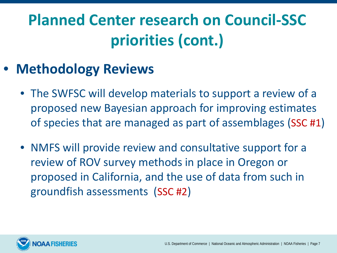#### • **Methodology Reviews**

- The SWFSC will develop materials to support a review of a proposed new Bayesian approach for improving estimates of species that are managed as part of assemblages (SSC #1)
- NMFS will provide review and consultative support for a review of ROV survey methods in place in Oregon or proposed in California, and the use of data from such in groundfish assessments (SSC #2)

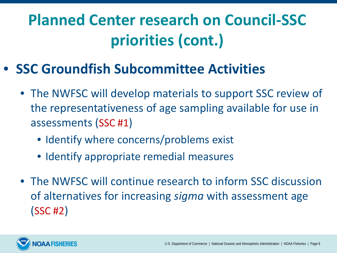#### • **SSC Groundfish Subcommittee Activities**

- The NWFSC will develop materials to support SSC review of the representativeness of age sampling available for use in assessments (SSC #1)
	- Identify where concerns/problems exist
	- Identify appropriate remedial measures
- The NWFSC will continue research to inform SSC discussion of alternatives for increasing *sigma* with assessment age (SSC #2)

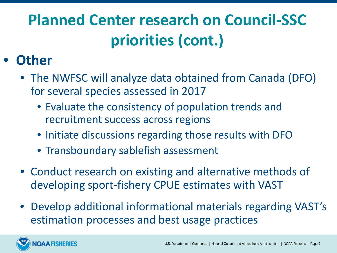#### • **Other**

- The NWFSC will analyze data obtained from Canada (DFO) for several species assessed in 2017
	- Evaluate the consistency of population trends and recruitment success across regions
	- Initiate discussions regarding those results with DFO
	- Transboundary sablefish assessment
- Conduct research on existing and alternative methods of developing sport-fishery CPUE estimates with VAST
- Develop additional informational materials regarding VAST's estimation processes and best usage practices